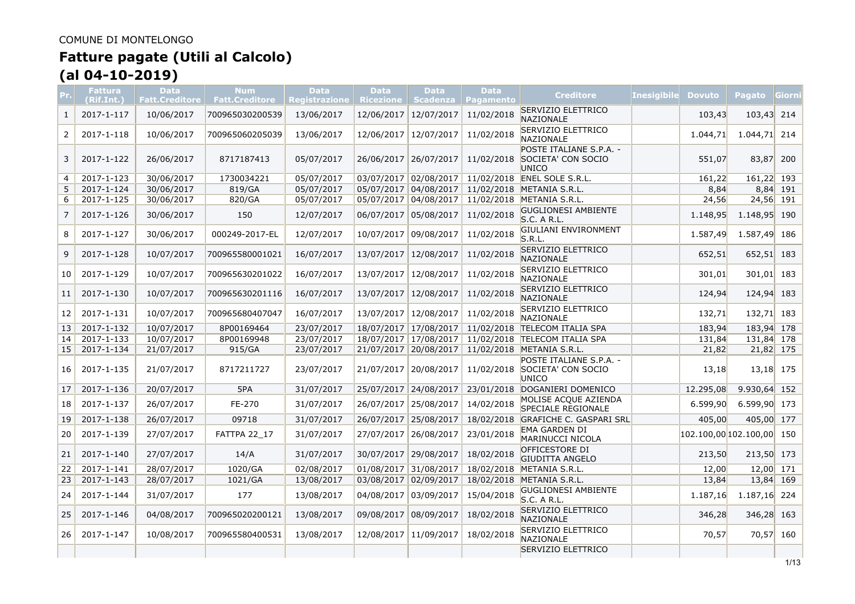# **Fatture pagate (Utili al Calcolo)**

# **(al 04-10-2019)**

|    | <b>Fattura</b><br>(Rif.Int.) | <b>Data</b><br><b>Fatt.Creditore</b> | <b>Num</b><br><b>Fatt.Creditore</b> | <b>Data</b><br>Registrazione | <b>Data</b><br><b>Ricezione</b> | <b>Data</b><br><b>Scadenza</b> | <b>Data</b><br><b>Pagamento</b> | <b>Creditore</b>                                       | <b>Inesigibile</b> | <b>Dovuto</b>             | Pagato         | Giorni     |
|----|------------------------------|--------------------------------------|-------------------------------------|------------------------------|---------------------------------|--------------------------------|---------------------------------|--------------------------------------------------------|--------------------|---------------------------|----------------|------------|
| 1  | 2017-1-117                   | 10/06/2017                           | 700965030200539                     | 13/06/2017                   | 12/06/2017                      | 12/07/2017                     | 11/02/2018                      | SERVIZIO ELETTRICO<br>NAZIONALE                        |                    | 103,43                    | 103,43 214     |            |
| 2  | 2017-1-118                   | 10/06/2017                           | 700965060205039                     | 13/06/2017                   | 12/06/2017                      | 12/07/2017                     | 11/02/2018                      | SERVIZIO ELETTRICO<br>NAZIONALE                        |                    | 1.044,71                  | 1.044, 71      | 214        |
| 3  | 2017-1-122                   | 26/06/2017                           | 8717187413                          | 05/07/2017                   | 26/06/2017                      | 26/07/2017                     | 11/02/2018                      | POSTE ITALIANE S.P.A. -<br>SOCIETA' CON SOCIO<br>UNICO |                    | 551,07                    | 83,87          | 200        |
| 4  | 2017-1-123                   | 30/06/2017                           | 1730034221                          | 05/07/2017                   |                                 | 03/07/2017 02/08/2017          |                                 | 11/02/2018 ENEL SOLE S.R.L.                            |                    | 161,22                    | 161,22 193     |            |
| 5  | 2017-1-124                   | 30/06/2017                           | 819/GA                              | 05/07/2017                   | 05/07/2017 04/08/2017           |                                |                                 | 11/02/2018 METANIA S.R.L.                              |                    | 8,84                      |                | $8,84$ 191 |
| 6  | 2017-1-125                   | 30/06/2017                           | 820/GA                              | 05/07/2017                   |                                 | 05/07/2017 04/08/2017          |                                 | 11/02/2018 METANIA S.R.L.                              |                    | 24,56                     | $24,56$ 191    |            |
| 7  | 2017-1-126                   | 30/06/2017                           | 150                                 | 12/07/2017                   | 06/07/2017                      | 05/08/2017                     | 11/02/2018                      | <b>GUGLIONESI AMBIENTE</b><br>S.C. A R.L.              |                    | 1.148,95                  | 1.148,95 190   |            |
| 8  | 2017-1-127                   | 30/06/2017                           | 000249-2017-EL                      | 12/07/2017                   | 10/07/2017                      | 09/08/2017                     | 11/02/2018                      | GIULIANI ENVIRONMENT<br>S.R.L.                         |                    | 1.587,49                  | 1.587,49 186   |            |
| 9  | 2017-1-128                   | 10/07/2017                           | 700965580001021                     | 16/07/2017                   | 13/07/2017                      | 12/08/2017                     | 11/02/2018                      | SERVIZIO ELETTRICO<br>NAZIONALE                        |                    | 652,51                    | 652,51 183     |            |
| 10 | 2017-1-129                   | 10/07/2017                           | 700965630201022                     | 16/07/2017                   | 13/07/2017                      | 12/08/2017                     | 11/02/2018                      | SERVIZIO ELETTRICO<br>NAZIONALE                        |                    | 301,01                    | $301,01$ 183   |            |
| 11 | 2017-1-130                   | 10/07/2017                           | 700965630201116                     | 16/07/2017                   | 13/07/2017                      | 12/08/2017                     | 11/02/2018                      | SERVIZIO ELETTRICO<br><b>NAZIONALE</b>                 |                    | 124,94                    | 124,94 183     |            |
| 12 | 2017-1-131                   | 10/07/2017                           | 700965680407047                     | 16/07/2017                   | 13/07/2017                      | 12/08/2017                     | 11/02/2018                      | SERVIZIO ELETTRICO<br>NAZIONALE                        |                    | 132,71                    | 132,71 183     |            |
| 13 | 2017-1-132                   | 10/07/2017                           | 8P00169464                          | 23/07/2017                   |                                 | 18/07/2017 17/08/2017          | 11/02/2018                      | <b>TELECOM ITALIA SPA</b>                              |                    | 183,94                    | 183,94 178     |            |
| 14 | 2017-1-133                   | 10/07/2017                           | 8P00169948                          | 23/07/2017                   |                                 | 18/07/2017 17/08/2017          | 11/02/2018                      | <b>TELECOM ITALIA SPA</b>                              |                    | 131,84                    | 131,84 178     |            |
| 15 | 2017-1-134                   | 21/07/2017                           | 915/GA                              | 23/07/2017                   |                                 | 21/07/2017 20/08/2017          |                                 | 11/02/2018 METANIA S.R.L.                              |                    | 21,82                     | $21,82$ 175    |            |
| 16 | 2017-1-135                   | 21/07/2017                           | 8717211727                          | 23/07/2017                   | 21/07/2017                      | 20/08/2017                     | 11/02/2018                      | POSTE ITALIANE S.P.A. -<br>SOCIETA' CON SOCIO<br>UNICO |                    | 13,18                     | 13,18 175      |            |
| 17 | 2017-1-136                   | 20/07/2017                           | 5PA                                 | 31/07/2017                   | 25/07/2017                      | 24/08/2017                     |                                 | 23/01/2018 DOGANIERI DOMENICO                          |                    | 12.295,08                 | $9.930,64$ 152 |            |
| 18 | 2017-1-137                   | 26/07/2017                           | FE-270                              | 31/07/2017                   | 26/07/2017                      | 25/08/2017                     | 14/02/2018                      | MOLISE ACOUE AZIENDA<br>SPECIALE REGIONALE             |                    | 6.599.90                  | 6.599,90 173   |            |
| 19 | 2017-1-138                   | 26/07/2017                           | 09718                               | 31/07/2017                   |                                 | 26/07/2017 25/08/2017          |                                 | 18/02/2018 GRAFICHE C. GASPARI SRL                     |                    | 405,00                    | 405,00 177     |            |
| 20 | 2017-1-139                   | 27/07/2017                           | FATTPA 22 17                        | 31/07/2017                   | 27/07/2017                      | 26/08/2017                     | 23/01/2018                      | EMA GARDEN DI<br>MARINUCCI NICOLA                      |                    | 102.100,00 102.100,00 150 |                |            |
| 21 | 2017-1-140                   | 27/07/2017                           | 14/A                                | 31/07/2017                   | 30/07/2017                      | 29/08/2017                     | 18/02/2018                      | OFFICESTORE DI<br><b>GIUDITTA ANGELO</b>               |                    | 213,50                    | 213,50 173     |            |
| 22 | 2017-1-141                   | 28/07/2017                           | 1020/GA                             | 02/08/2017                   |                                 | 01/08/2017 31/08/2017          |                                 | 18/02/2018 METANIA S.R.L.                              |                    | 12,00                     | $12,00$ 171    |            |
| 23 | 2017-1-143                   | 28/07/2017                           | 1021/GA                             | 13/08/2017                   | 03/08/2017                      | 02/09/2017                     |                                 | 18/02/2018 METANIA S.R.L.                              |                    | 13,84                     | 13,84 169      |            |
| 24 | 2017-1-144                   | 31/07/2017                           | 177                                 | 13/08/2017                   | 04/08/2017                      | 03/09/2017                     | 15/04/2018                      | <b>GUGLIONESI AMBIENTE</b><br>S.C. A R.L.              |                    | 1.187,16                  | $1.187,16$ 224 |            |
| 25 | 2017-1-146                   | 04/08/2017                           | 700965020200121                     | 13/08/2017                   | 09/08/2017                      | 08/09/2017                     | 18/02/2018                      | SERVIZIO ELETTRICO<br>NAZIONALE                        |                    | 346,28                    | 346,28 163     |            |
| 26 | 2017-1-147                   | 10/08/2017                           | 700965580400531                     | 13/08/2017                   | 12/08/2017                      | 11/09/2017                     | 18/02/2018                      | SERVIZIO ELETTRICO<br>NAZIONALE                        |                    | 70,57                     | 70,57 160      |            |
|    |                              |                                      |                                     |                              |                                 |                                |                                 | SERVIZIO ELETTRICO                                     |                    |                           |                |            |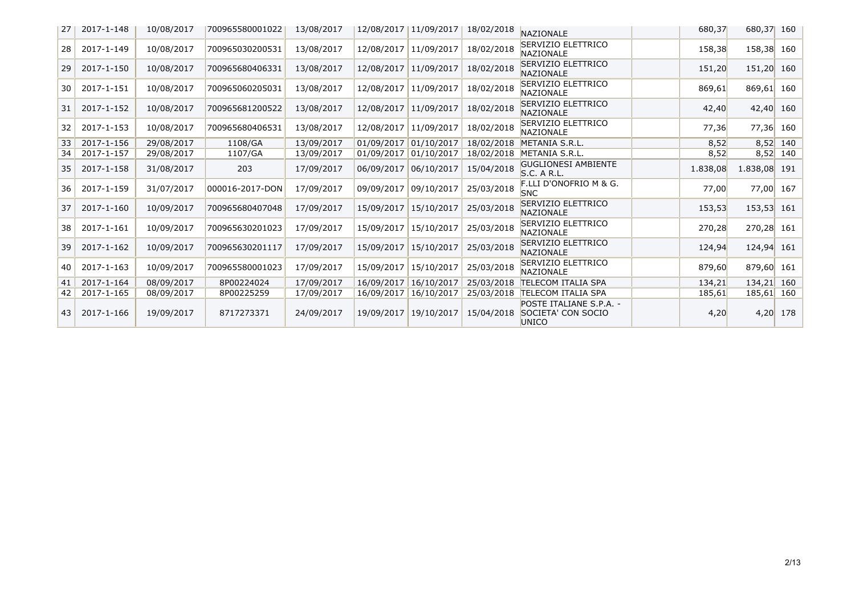| 27 | 2017-1-148 | 10/08/2017 | 700965580001022 | 13/08/2017 | 12/08/2017 | 11/09/2017 | 18/02/2018 | NAZIONALE                                              | 680,37   | 680,37 160   |            |
|----|------------|------------|-----------------|------------|------------|------------|------------|--------------------------------------------------------|----------|--------------|------------|
| 28 | 2017-1-149 | 10/08/2017 | 700965030200531 | 13/08/2017 | 12/08/2017 | 11/09/2017 | 18/02/2018 | SERVIZIO ELETTRICO<br>NAZIONALE                        | 158,38   | 158,38 160   |            |
| 29 | 2017-1-150 | 10/08/2017 | 700965680406331 | 13/08/2017 | 12/08/2017 | 11/09/2017 | 18/02/2018 | SERVIZIO ELETTRICO<br><b>NAZIONALE</b>                 | 151,20   | 151,20 160   |            |
| 30 | 2017-1-151 | 10/08/2017 | 700965060205031 | 13/08/2017 | 12/08/2017 | 11/09/2017 | 18/02/2018 | SERVIZIO ELETTRICO<br><b>NAZIONALE</b>                 | 869,61   | 869,61 160   |            |
| 31 | 2017-1-152 | 10/08/2017 | 700965681200522 | 13/08/2017 | 12/08/2017 | 11/09/2017 | 18/02/2018 | SERVIZIO ELETTRICO<br><b>NAZIONALE</b>                 | 42,40    | 42,40 160    |            |
| 32 | 2017-1-153 | 10/08/2017 | 700965680406531 | 13/08/2017 | 12/08/2017 | 11/09/2017 | 18/02/2018 | SERVIZIO ELETTRICO<br>NAZIONALE                        | 77,36    | 77,36 160    |            |
| 33 | 2017-1-156 | 29/08/2017 | 1108/GA         | 13/09/2017 | 01/09/2017 | 01/10/2017 | 18/02/2018 | METANIA S.R.L.                                         | 8,52     |              | $8,52$ 140 |
| 34 | 2017-1-157 | 29/08/2017 | 1107/GA         | 13/09/2017 | 01/09/2017 | 01/10/2017 | 18/02/2018 | METANIA S.R.L.                                         | 8,52     |              | $8,52$ 140 |
| 35 | 2017-1-158 | 31/08/2017 | 203             | 17/09/2017 | 06/09/2017 | 06/10/2017 | 15/04/2018 | <b>GUGLIONESI AMBIENTE</b><br>S.C. A R.L.              | 1.838,08 | 1.838,08 191 |            |
| 36 | 2017-1-159 | 31/07/2017 | 000016-2017-DON | 17/09/2017 | 09/09/2017 | 09/10/2017 | 25/03/2018 | F.LLI D'ONOFRIO M & G.<br><b>SNC</b>                   | 77,00    | 77,00 167    |            |
| 37 | 2017-1-160 | 10/09/2017 | 700965680407048 | 17/09/2017 | 15/09/2017 | 15/10/2017 | 25/03/2018 | SERVIZIO ELETTRICO<br><b>NAZIONALE</b>                 | 153,53   | $153,53$ 161 |            |
| 38 | 2017-1-161 | 10/09/2017 | 700965630201023 | 17/09/2017 | 15/09/2017 | 15/10/2017 | 25/03/2018 | SERVIZIO ELETTRICO<br><b>NAZIONALE</b>                 | 270,28   | 270,28 161   |            |
| 39 | 2017-1-162 | 10/09/2017 | 700965630201117 | 17/09/2017 | 15/09/2017 | 15/10/2017 | 25/03/2018 | SERVIZIO ELETTRICO<br><b>NAZIONALE</b>                 | 124,94   | $124,94$ 161 |            |
| 40 | 2017-1-163 | 10/09/2017 | 700965580001023 | 17/09/2017 | 15/09/2017 | 15/10/2017 | 25/03/2018 | SERVIZIO ELETTRICO<br><b>NAZIONALE</b>                 | 879,60   | 879,60 161   |            |
| 41 | 2017-1-164 | 08/09/2017 | 8P00224024      | 17/09/2017 | 16/09/2017 | 16/10/2017 | 25/03/2018 | TELECOM ITALIA SPA                                     | 134,21   | $134,21$ 160 |            |
| 42 | 2017-1-165 | 08/09/2017 | 8P00225259      | 17/09/2017 | 16/09/2017 | 16/10/2017 | 25/03/2018 | TELECOM ITALIA SPA                                     | 185,61   | 185,61 160   |            |
| 43 | 2017-1-166 | 19/09/2017 | 8717273371      | 24/09/2017 | 19/09/2017 | 19/10/2017 | 15/04/2018 | POSTE ITALIANE S.P.A. -<br>SOCIETA' CON SOCIO<br>UNICO | 4,20     |              | 4,20 178   |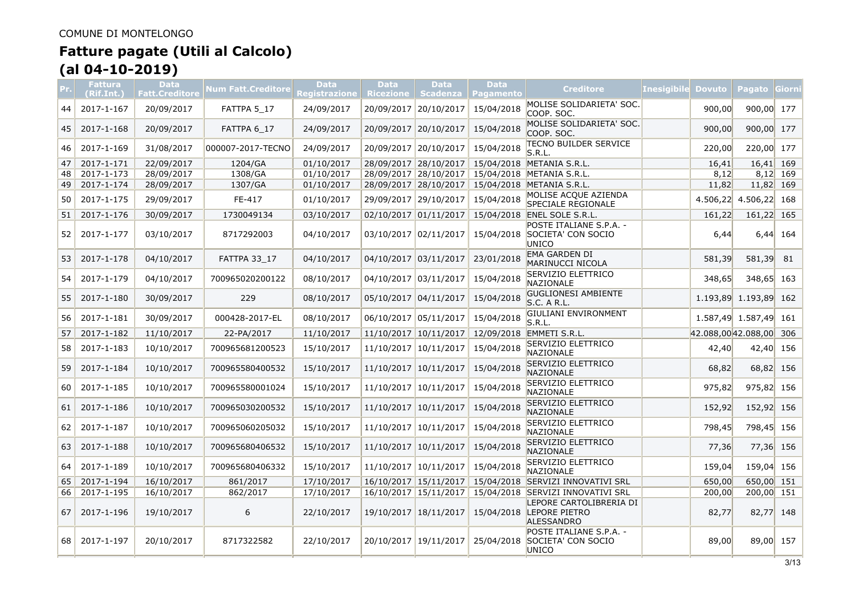|    | <b>Fattura</b><br>(Rif.Int.) | <b>Data</b><br><b>Fatt.Creditore</b> | <b>Num Fatt.Creditore</b> | <b>Data</b><br>Registrazione | <b>Data</b><br><b>Ricezione</b> | <b>Data</b><br><b>Scadenza</b> | <b>Data</b><br><b>Pagamento</b> | <b>Creditore</b>                                                  | <b>Inesigibile</b> | <b>Dovuto</b>      | <b>Pagato</b>         | <b>Giorn</b> |
|----|------------------------------|--------------------------------------|---------------------------|------------------------------|---------------------------------|--------------------------------|---------------------------------|-------------------------------------------------------------------|--------------------|--------------------|-----------------------|--------------|
| 44 | 2017-1-167                   | 20/09/2017                           | FATTPA 5_17               | 24/09/2017                   | 20/09/2017                      | 20/10/2017                     | 15/04/2018                      | MOLISE SOLIDARIETA' SOC.<br>COOP. SOC.                            |                    | 900,00             | 900,00 177            |              |
| 45 | 2017-1-168                   | 20/09/2017                           | FATTPA 6_17               | 24/09/2017                   | 20/09/2017 20/10/2017           |                                | 15/04/2018                      | MOLISE SOLIDARIETA' SOC.<br>COOP. SOC.                            |                    | 900,00             | 900,00 177            |              |
| 46 | 2017-1-169                   | 31/08/2017                           | 000007-2017-TECNO         | 24/09/2017                   | 20/09/2017                      | 20/10/2017                     | 15/04/2018                      | TECNO BUILDER SERVICE<br>S.R.L.                                   |                    | 220,00             | 220,00 177            |              |
| 47 | 2017-1-171                   | 22/09/2017                           | 1204/GA                   | 01/10/2017                   |                                 | 28/09/2017 28/10/2017          |                                 | 15/04/2018 METANIA S.R.L.                                         |                    | 16,41              | $16,41$ 169           |              |
| 48 | 2017-1-173                   | 28/09/2017                           | 1308/GA                   | 01/10/2017                   |                                 | 28/09/2017 28/10/2017          | 15/04/2018                      | METANIA S.R.L.                                                    |                    | 8,12               |                       | $8,12$ 169   |
| 49 | 2017-1-174                   | 28/09/2017                           | 1307/GA                   | 01/10/2017                   | 28/09/2017 28/10/2017           |                                | 15/04/2018                      | METANIA S.R.L.                                                    |                    | 11,82              | 11,82 169             |              |
| 50 | 2017-1-175                   | 29/09/2017                           | FE-417                    | 01/10/2017                   | 29/09/2017 29/10/2017           |                                | 15/04/2018                      | MOLISE ACQUE AZIENDA<br>SPECIALE REGIONALE                        |                    | 4.506,22           | $4.506, 22$ 168       |              |
| 51 | 2017-1-176                   | 30/09/2017                           | 1730049134                | 03/10/2017                   |                                 | 02/10/2017 01/11/2017          |                                 | 15/04/2018 ENEL SOLE S.R.L.                                       |                    | 161,22             | 161,22 165            |              |
| 52 | 2017-1-177                   | 03/10/2017                           | 8717292003                | 04/10/2017                   | 03/10/2017 02/11/2017           |                                |                                 | POSTE ITALIANE S.P.A. -<br>15/04/2018 SOCIETA' CON SOCIO<br>UNICO |                    | 6,44               |                       | $6,44$ 164   |
| 53 | 2017-1-178                   | 04/10/2017                           | <b>FATTPA 33 17</b>       | 04/10/2017                   | 04/10/2017 03/11/2017           |                                | 23/01/2018                      | EMA GARDEN DI<br>MARINUCCI NICOLA                                 |                    | 581,39             | 581,39                | 81           |
| 54 | 2017-1-179                   | 04/10/2017                           | 700965020200122           | 08/10/2017                   | 04/10/2017 03/11/2017           |                                | 15/04/2018                      | SERVIZIO ELETTRICO<br><b>NAZIONALE</b>                            |                    | 348,65             | 348,65 163            |              |
| 55 | 2017-1-180                   | 30/09/2017                           | 229                       | 08/10/2017                   | 05/10/2017                      | 04/11/2017                     | 15/04/2018                      | <b>GUGLIONESI AMBIENTE</b><br>S.C. A R.L.                         |                    | 1.193,89           | 1.193,89 162          |              |
| 56 | 2017-1-181                   | 30/09/2017                           | 000428-2017-EL            | 08/10/2017                   | 06/10/2017 05/11/2017           |                                | 15/04/2018                      | GIULIANI ENVIRONMENT<br>S.R.L.                                    |                    |                    | 1.587,49 1.587,49 161 |              |
| 57 | 2017-1-182                   | 11/10/2017                           | 22-PA/2017                | 11/10/2017                   |                                 | 11/10/2017 10/11/2017          |                                 | 12/09/2018 EMMETI S.R.L.                                          |                    | 42.088,0042.088,00 |                       | 306          |
| 58 | 2017-1-183                   | 10/10/2017                           | 700965681200523           | 15/10/2017                   | 11/10/2017 10/11/2017           |                                | 15/04/2018                      | SERVIZIO ELETTRICO<br><b>NAZIONALE</b>                            |                    | 42,40              | 42,40 156             |              |
| 59 | 2017-1-184                   | 10/10/2017                           | 700965580400532           | 15/10/2017                   | 11/10/2017 10/11/2017           |                                | 15/04/2018                      | SERVIZIO ELETTRICO<br><b>NAZIONALE</b>                            |                    | 68,82              | 68,82 156             |              |
| 60 | 2017-1-185                   | 10/10/2017                           | 700965580001024           | 15/10/2017                   | 11/10/2017 10/11/2017           |                                | 15/04/2018                      | SERVIZIO ELETTRICO<br>NAZIONALE                                   |                    | 975,82             | 975,82 156            |              |
| 61 | 2017-1-186                   | 10/10/2017                           | 700965030200532           | 15/10/2017                   | 11/10/2017 10/11/2017           |                                | 15/04/2018                      | SERVIZIO ELETTRICO<br><b>NAZIONALE</b>                            |                    | 152,92             | 152,92 156            |              |
| 62 | 2017-1-187                   | 10/10/2017                           | 700965060205032           | 15/10/2017                   | 11/10/2017                      | 10/11/2017                     | 15/04/2018                      | SERVIZIO ELETTRICO<br><b>NAZIONALE</b>                            |                    | 798,45             | 798,45 156            |              |
| 63 | 2017-1-188                   | 10/10/2017                           | 700965680406532           | 15/10/2017                   | 11/10/2017 10/11/2017           |                                | 15/04/2018                      | SERVIZIO ELETTRICO<br><b>NAZIONALE</b>                            |                    | 77,36              | 77,36 156             |              |
| 64 | 2017-1-189                   | 10/10/2017                           | 700965680406332           | 15/10/2017                   | 11/10/2017 10/11/2017           |                                | 15/04/2018                      | SERVIZIO ELETTRICO<br>NAZIONALE                                   |                    | 159,04             | 159,04                | 156          |
| 65 | 2017-1-194                   | 16/10/2017                           | 861/2017                  | 17/10/2017                   |                                 | 16/10/2017 15/11/2017          |                                 | 15/04/2018 SERVIZI INNOVATIVI SRL                                 |                    | 650,00             | 650,00 151            |              |
| 66 | 2017-1-195                   | 16/10/2017                           | 862/2017                  | 17/10/2017                   | 16/10/2017 15/11/2017           |                                |                                 | 15/04/2018 SERVIZI INNOVATIVI SRL                                 |                    | 200,00             | 200,00 151            |              |
| 67 | 2017-1-196                   | 19/10/2017                           | 6                         | 22/10/2017                   | 19/10/2017 18/11/2017           |                                | 15/04/2018                      | LEPORE CARTOLIBRERIA DI<br>LEPORE PIETRO<br><b>ALESSANDRO</b>     |                    | 82,77              | 82,77                 | 148          |
| 68 | 2017-1-197                   | 20/10/2017                           | 8717322582                | 22/10/2017                   | 20/10/2017 19/11/2017           |                                | 25/04/2018                      | POSTE ITALIANE S.P.A. -<br>SOCIETA' CON SOCIO<br><b>UNICO</b>     |                    | 89,00              | 89,00 157             |              |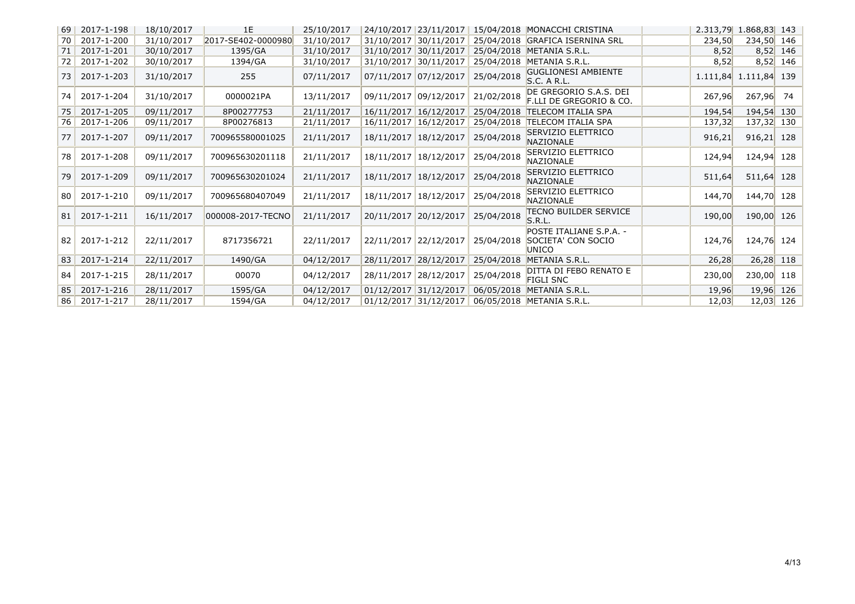| <b>69</b> | 2017-1-198 | 18/10/2017 | 1E                 | 25/10/2017 | 24/10/2017 23/11/2017 |            |            | 15/04/2018 MONACCHI CRISTINA                           | 2.313,79 | 1.868,83 143 |             |
|-----------|------------|------------|--------------------|------------|-----------------------|------------|------------|--------------------------------------------------------|----------|--------------|-------------|
| 70        | 2017-1-200 | 31/10/2017 | 2017-SE402-0000980 | 31/10/2017 | 31/10/2017 30/11/2017 |            |            | 25/04/2018 GRAFICA ISERNINA SRL                        | 234,50   | 234,50 146   |             |
| 71        | 2017-1-201 | 30/10/2017 | 1395/GA            | 31/10/2017 | 31/10/2017 30/11/2017 |            |            | 25/04/2018 METANIA S.R.L.                              | 8,52     |              | $8,52$ 146  |
| 72        | 2017-1-202 | 30/10/2017 | 1394/GA            | 31/10/2017 | 31/10/2017 30/11/2017 |            | 25/04/2018 | METANIA S.R.L.                                         | 8,52     |              | $8,52$ 146  |
| 73        | 2017-1-203 | 31/10/2017 | 255                | 07/11/2017 | 07/11/2017 07/12/2017 |            | 25/04/2018 | <b>GUGLIONESI AMBIENTE</b><br><b>S.C. A R.L.</b>       | 1.111,84 | 1.111,84 139 |             |
| 74        | 2017-1-204 | 31/10/2017 | 0000021PA          | 13/11/2017 | 09/11/2017 09/12/2017 |            | 21/02/2018 | DE GREGORIO S.A.S. DEI<br>F.LLI DE GREGORIO & CO.      | 267,96   | 267,96       | 74          |
| 75        | 2017-1-205 | 09/11/2017 | 8P00277753         | 21/11/2017 | 16/11/2017 16/12/2017 |            | 25/04/2018 | <b>TELECOM ITALIA SPA</b>                              | 194,54   | 194,54 130   |             |
| 76        | 2017-1-206 | 09/11/2017 | 8P00276813         | 21/11/2017 | 16/11/2017 16/12/2017 |            | 25/04/2018 | <b>TELECOM ITALIA SPA</b>                              | 137,32   | 137,32 130   |             |
| 77        | 2017-1-207 | 09/11/2017 | 700965580001025    | 21/11/2017 | 18/11/2017 18/12/2017 |            | 25/04/2018 | SERVIZIO ELETTRICO<br><b>NAZIONALE</b>                 | 916,21   | $916,21$ 128 |             |
| 78        | 2017-1-208 | 09/11/2017 | 700965630201118    | 21/11/2017 | 18/11/2017 18/12/2017 |            | 25/04/2018 | SERVIZIO ELETTRICO<br><b>NAZIONALE</b>                 | 124,94   | 124,94 128   |             |
| 79        | 2017-1-209 | 09/11/2017 | 700965630201024    | 21/11/2017 | 18/11/2017            | 18/12/2017 | 25/04/2018 | SERVIZIO ELETTRICO<br>NAZIONALE                        | 511,64   | 511,64 128   |             |
| 80        | 2017-1-210 | 09/11/2017 | 700965680407049    | 21/11/2017 | 18/11/2017 18/12/2017 |            | 25/04/2018 | SERVIZIO ELETTRICO<br><b>NAZIONALE</b>                 | 144,70   | 144,70 128   |             |
| 81        | 2017-1-211 | 16/11/2017 | 000008-2017-TECNO  | 21/11/2017 | 20/11/2017 20/12/2017 |            | 25/04/2018 | <b>TECNO BUILDER SERVICE</b><br>S.R.L.                 | 190,00   | 190,00 126   |             |
| 82        | 2017-1-212 | 22/11/2017 | 8717356721         | 22/11/2017 | 22/11/2017 22/12/2017 |            | 25/04/2018 | POSTE ITALIANE S.P.A. -<br>SOCIETA' CON SOCIO<br>UNICO | 124,76   | 124,76 124   |             |
| 83        | 2017-1-214 | 22/11/2017 | 1490/GA            | 04/12/2017 | 28/11/2017 28/12/2017 |            | 25/04/2018 | METANIA S.R.L.                                         | 26,28    |              | 26,28 118   |
| 84        | 2017-1-215 | 28/11/2017 | 00070              | 04/12/2017 | 28/11/2017 28/12/2017 |            | 25/04/2018 | DITTA DI FEBO RENATO E<br><b>FIGLI SNC</b>             | 230,00   | 230,00 118   |             |
| 85        | 2017-1-216 | 28/11/2017 | 1595/GA            | 04/12/2017 | 01/12/2017 31/12/2017 |            | 06/05/2018 | METANIA S.R.L.                                         | 19,96    |              | 19,96 126   |
| 86        | 2017-1-217 | 28/11/2017 | 1594/GA            | 04/12/2017 | 01/12/2017 31/12/2017 |            |            | 06/05/2018 METANIA S.R.L.                              | 12,03    |              | $12,03$ 126 |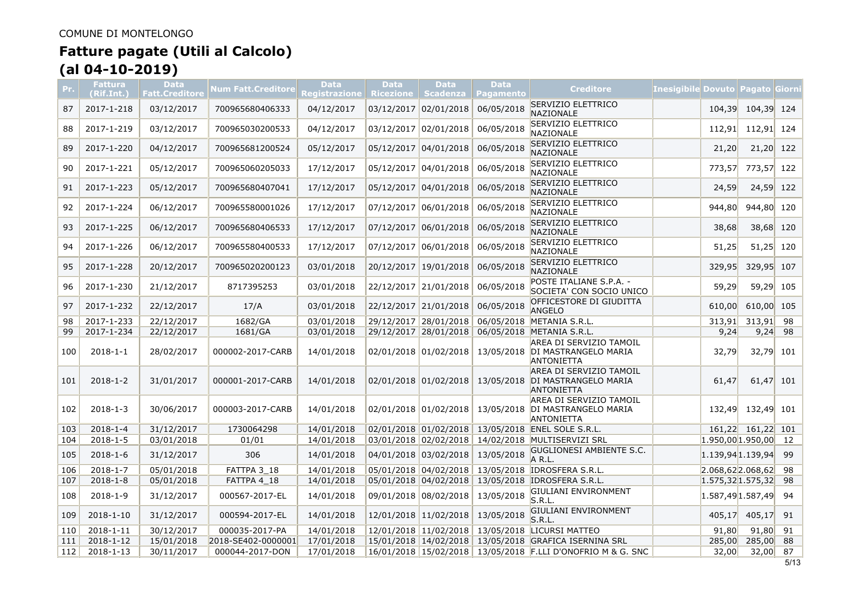| Pr. | Fattura<br>(Rif.Int.) | <b>Data</b><br>Fatt.Creditore | Num Fatt.Creditore | <b>Data</b><br>Registrazione | <b>Data</b><br><b>Ricezione</b> | <b>Data</b><br><b>Scadenza</b> | <b>Data</b><br><b>Pagamento</b> | <b>Creditore</b>                                                                | <u> Inesigibile Dovuto Pagato Giorn</u> |                   |     |
|-----|-----------------------|-------------------------------|--------------------|------------------------------|---------------------------------|--------------------------------|---------------------------------|---------------------------------------------------------------------------------|-----------------------------------------|-------------------|-----|
| 87  | 2017-1-218            | 03/12/2017                    | 700965680406333    | 04/12/2017                   | 03/12/2017                      | 02/01/2018                     | 06/05/2018                      | SERVIZIO ELETTRICO<br><b>NAZIONALE</b>                                          | 104,39                                  | 104,39 124        |     |
| 88  | 2017-1-219            | 03/12/2017                    | 700965030200533    | 04/12/2017                   | 03/12/2017 02/01/2018           |                                | 06/05/2018                      | SERVIZIO ELETTRICO<br>NAZIONALE                                                 | 112,91                                  | 112,91            | 124 |
| 89  | 2017-1-220            | 04/12/2017                    | 700965681200524    | 05/12/2017                   | 05/12/2017                      | 04/01/2018                     | 06/05/2018                      | <b>SERVIZIO ELETTRICO</b><br>NAZIONALE                                          | 21,20                                   | 21,20             | 122 |
| 90  | 2017-1-221            | 05/12/2017                    | 700965060205033    | 17/12/2017                   | 05/12/2017 04/01/2018           |                                | 06/05/2018                      | SERVIZIO ELETTRICO<br>NAZIONALE                                                 | 773,57                                  | 773,57            | 122 |
| 91  | 2017-1-223            | 05/12/2017                    | 700965680407041    | 17/12/2017                   |                                 | 05/12/2017 04/01/2018          | 06/05/2018                      | SERVIZIO ELETTRICO<br>NAZIONALE                                                 | 24,59                                   | 24,59             | 122 |
| 92  | 2017-1-224            | 06/12/2017                    | 700965580001026    | 17/12/2017                   |                                 | 07/12/2017 06/01/2018          | 06/05/2018                      | SERVIZIO ELETTRICO<br>NAZIONALE                                                 | 944,80                                  | 944,80 120        |     |
| 93  | 2017-1-225            | 06/12/2017                    | 700965680406533    | 17/12/2017                   |                                 | 07/12/2017 06/01/2018          | 06/05/2018                      | SERVIZIO ELETTRICO<br><b>NAZIONALE</b>                                          | 38,68                                   | 38,68 120         |     |
| 94  | 2017-1-226            | 06/12/2017                    | 700965580400533    | 17/12/2017                   | 07/12/2017                      | 06/01/2018                     | 06/05/2018                      | SERVIZIO ELETTRICO<br>NAZIONALE                                                 | 51,25                                   | 51,25             | 120 |
| 95  | 2017-1-228            | 20/12/2017                    | 700965020200123    | 03/01/2018                   | 20/12/2017                      | 19/01/2018                     | 06/05/2018                      | <b>SERVIZIO ELETTRICO</b><br>NAZIONALE                                          | 329,95                                  | 329,95 107        |     |
| 96  | 2017-1-230            | 21/12/2017                    | 8717395253         | 03/01/2018                   | 22/12/2017                      | 21/01/2018                     | 06/05/2018                      | POSTE ITALIANE S.P.A. -<br>SOCIETA' CON SOCIO UNICO                             | 59,29                                   | 59,29             | 105 |
| 97  | 2017-1-232            | 22/12/2017                    | 17/A               | 03/01/2018                   |                                 | 22/12/2017 21/01/2018          | 06/05/2018                      | OFFICESTORE DI GIUDITTA<br><b>ANGELO</b>                                        | 610,00                                  | 610,00            | 105 |
| 98  | 2017-1-233            | 22/12/2017                    | 1682/GA            | 03/01/2018                   |                                 | 29/12/2017 28/01/2018          |                                 | 06/05/2018 METANIA S.R.L.                                                       | 313,91                                  | 313,91            | 98  |
| 99  | 2017-1-234            | 22/12/2017                    | 1681/GA            | 03/01/2018                   |                                 |                                |                                 | 29/12/2017 28/01/2018 06/05/2018 METANIA S.R.L.                                 | 9,24                                    | 9,24              | 98  |
| 100 | $2018 - 1 - 1$        | 28/02/2017                    | 000002-2017-CARB   | 14/01/2018                   |                                 | 02/01/2018 01/02/2018          |                                 | AREA DI SERVIZIO TAMOIL<br>13/05/2018 DI MASTRANGELO MARIA<br><b>ANTONIETTA</b> | 32,79                                   | $32,79$ 101       |     |
| 101 | $2018 - 1 - 2$        | 31/01/2017                    | 000001-2017-CARB   | 14/01/2018                   |                                 | 02/01/2018 01/02/2018          |                                 | AREA DI SERVIZIO TAMOIL<br>13/05/2018 DI MASTRANGELO MARIA<br><b>ANTONIETTA</b> | 61,47                                   | 61,47 101         |     |
| 102 | $2018 - 1 - 3$        | 30/06/2017                    | 000003-2017-CARB   | 14/01/2018                   |                                 | 02/01/2018 01/02/2018          |                                 | AREA DI SERVIZIO TAMOIL<br>13/05/2018 DI MASTRANGELO MARIA<br><b>ANTONIETTA</b> | 132,49                                  | 132,49 101        |     |
| 103 | $2018 - 1 - 4$        | 31/12/2017                    | 1730064298         | 14/01/2018                   |                                 | 02/01/2018 01/02/2018          |                                 | 13/05/2018 ENEL SOLE S.R.L.                                                     |                                         | 161,22 161,22 101 |     |
| 104 | $2018 - 1 - 5$        | 03/01/2018                    | 01/01              | 14/01/2018                   |                                 |                                |                                 | 03/01/2018 02/02/2018 14/02/2018 MULTISERVIZI SRL                               | $1.950,00$ 1.950,00                     |                   | 12  |
| 105 | $2018 - 1 - 6$        | 31/12/2017                    | 306                | 14/01/2018                   |                                 | 04/01/2018 03/02/2018          | 13/05/2018                      | <b>GUGLIONESI AMBIENTE S.C.</b><br>A R.L.                                       | $1.139,94$ 1.139,94                     |                   | 99  |
| 106 | $2018 - 1 - 7$        | 05/01/2018                    | FATTPA 3 18        | 14/01/2018                   |                                 |                                |                                 | 05/01/2018 04/02/2018 13/05/2018 IDROSFERA S.R.L.                               | $2.068,62$ 2.068,62                     |                   | 98  |
| 107 | $2018 - 1 - 8$        | 05/01/2018                    | FATTPA 4 18        | 14/01/2018                   |                                 |                                |                                 | 05/01/2018 04/02/2018 13/05/2018 IDROSFERA S.R.L.                               | $1.575,32$ 1.575,32                     |                   | 98  |
| 108 | $2018 - 1 - 9$        | 31/12/2017                    | 000567-2017-EL     | 14/01/2018                   |                                 | 09/01/2018 08/02/2018          | 13/05/2018                      | GIULIANI ENVIRONMENT<br>S.R.L.                                                  | $1.587,49$ 1.587,49                     |                   | 94  |
| 109 | 2018-1-10             | 31/12/2017                    | 000594-2017-EL     | 14/01/2018                   |                                 | 12/01/2018 11/02/2018          | 13/05/2018                      | GIULIANI ENVIRONMENT<br>S.R.L.                                                  | 405,17                                  | 405,17            | 91  |
| 110 | 2018-1-11             | 30/12/2017                    | 000035-2017-PA     | 14/01/2018                   |                                 |                                |                                 | 12/01/2018 11/02/2018 13/05/2018 LICURSI MATTEO                                 | 91,80                                   | 91,80             | 91  |
| 111 | 2018-1-12             | 15/01/2018                    | 2018-SE402-0000001 | 17/01/2018                   |                                 |                                |                                 | 15/01/2018 14/02/2018 13/05/2018 GRAFICA ISERNINA SRL                           | 285,00                                  | 285,00            | 88  |
| 112 | 2018-1-13             | 30/11/2017                    | 000044-2017-DON    | 17/01/2018                   |                                 |                                |                                 | 16/01/2018 15/02/2018 13/05/2018 F.LLI D'ONOFRIO M & G. SNC                     | 32,00                                   | 32,00             | 87  |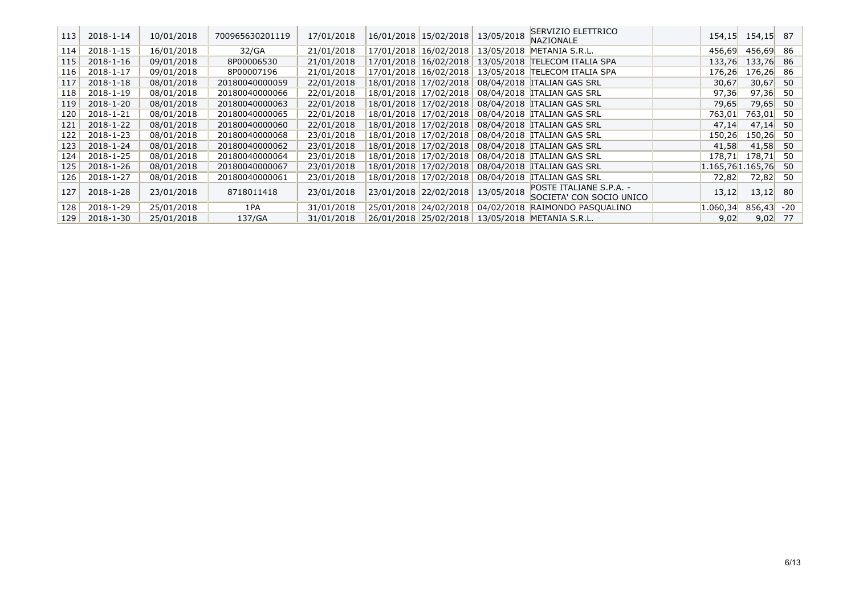| 113 | 2018-1-14 | 10/01/2018 | 700965630201119 | 17/01/2018 |            | 16/01/2018 15/02/2018 | 13/05/2018                       | SERVIZIO ELETTRICO<br><b>NAZIONALE</b>              | 154,15   | 154,15           | 87    |
|-----|-----------|------------|-----------------|------------|------------|-----------------------|----------------------------------|-----------------------------------------------------|----------|------------------|-------|
| 114 | 2018-1-15 | 16/01/2018 | 32/GA           | 21/01/2018 | 17/01/2018 | 16/02/2018            | 13/05/2018                       | METANIA S.R.L.                                      | 456,69   | 456,69           | 86    |
| 115 | 2018-1-16 | 09/01/2018 | 8P00006530      | 21/01/2018 |            | 17/01/2018 16/02/2018 | 13/05/2018                       | <b>TELECOM ITALIA SPA</b>                           | 133,76   | 133,76           | 86    |
| 116 | 2018-1-17 | 09/01/2018 | 8P00007196      | 21/01/2018 |            |                       | 17/01/2018 16/02/2018 13/05/2018 | <b>TELECOM ITALIA SPA</b>                           | 176,26   | 176,26           | 86    |
| 117 | 2018-1-18 | 08/01/2018 | 20180040000059  | 22/01/2018 |            |                       | 18/01/2018 17/02/2018 08/04/2018 | <b>ITALIAN GAS SRL</b>                              | 30,67    | 30,67            | 50    |
| 118 | 2018-1-19 | 08/01/2018 | 20180040000066  | 22/01/2018 |            |                       |                                  | 18/01/2018 17/02/2018 08/04/2018 ITALIAN GAS SRL    | 97,36    | 97,36            | 50    |
| 119 | 2018-1-20 | 08/01/2018 | 20180040000063  | 22/01/2018 |            |                       |                                  | 18/01/2018 17/02/2018 08/04/2018 ITALIAN GAS SRL    | 79,65    | 79,65            | 50    |
| 120 | 2018-1-21 | 08/01/2018 | 20180040000065  | 22/01/2018 |            |                       |                                  | 18/01/2018 17/02/2018 08/04/2018 ITALIAN GAS SRL    | 763,01   | 763,01           | 50    |
| 121 | 2018-1-22 | 08/01/2018 | 20180040000060  | 22/01/2018 |            |                       |                                  | 18/01/2018 17/02/2018 08/04/2018 ITALIAN GAS SRL    | 47,14    | 47,14            | 50    |
| 122 | 2018-1-23 | 08/01/2018 | 20180040000068  | 23/01/2018 |            |                       |                                  | 18/01/2018 17/02/2018 08/04/2018 ITALIAN GAS SRL    | 150,26   | 150,26           | 50    |
| 123 | 2018-1-24 | 08/01/2018 | 20180040000062  | 23/01/2018 |            |                       | 18/01/2018 17/02/2018 08/04/2018 | <b>ITALIAN GAS SRL</b>                              | 41,58    | 41,58            | 50    |
| 124 | 2018-1-25 | 08/01/2018 | 20180040000064  | 23/01/2018 |            | 18/01/2018 17/02/2018 | 08/04/2018                       | <b>ITALIAN GAS SRL</b>                              | 178,71   | 178,71           | 50    |
| 125 | 2018-1-26 | 08/01/2018 | 20180040000067  | 23/01/2018 |            | 18/01/2018 17/02/2018 | 08/04/2018                       | <b>ITALIAN GAS SRL</b>                              |          | 1.165,761.165,76 | 50    |
| 126 | 2018-1-27 | 08/01/2018 | 20180040000061  | 23/01/2018 |            | 18/01/2018 17/02/2018 | 08/04/2018                       | <b>ITALIAN GAS SRL</b>                              | 72,82    | 72,82            | 50    |
| 127 | 2018-1-28 | 23/01/2018 | 8718011418      | 23/01/2018 |            | 23/01/2018 22/02/2018 | 13/05/2018                       | POSTE ITALIANE S.P.A. -<br>SOCIETA' CON SOCIO UNICO | 13,12    | 13,12            | 80    |
| 128 | 2018-1-29 | 25/01/2018 | 1PA             | 31/01/2018 |            | 25/01/2018 24/02/2018 | 04/02/2018                       | RAIMONDO PASQUALINO                                 | 1.060,34 | 856,43           | $-20$ |
| 129 | 2018-1-30 | 25/01/2018 | 137/GA          | 31/01/2018 |            |                       | 26/01/2018 25/02/2018 13/05/2018 | METANIA S.R.L.                                      | 9,02     | 9,02             | 77    |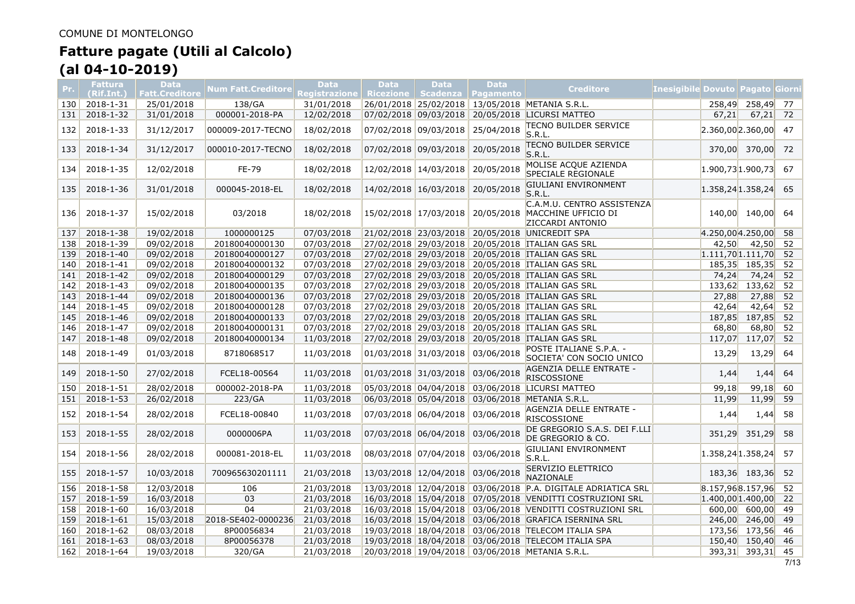| Pr.        | <b>Fattura</b><br>(Rif.Int.) | <b>Data</b><br><b>Fatt.Creditore</b> | Num Fatt.Creditore | Data<br>Registrazione | <b>Data</b><br><b>Ricezione</b> | <b>Data</b><br><b>Scadenza</b> | <b>Data</b><br><b>Pagamento</b> | Creditore                                                             | Inesigibile Dovuto   Pagato   Giorn |                 |    |
|------------|------------------------------|--------------------------------------|--------------------|-----------------------|---------------------------------|--------------------------------|---------------------------------|-----------------------------------------------------------------------|-------------------------------------|-----------------|----|
| 130        | 2018-1-31                    | 25/01/2018                           | 138/GA             | 31/01/2018            |                                 |                                |                                 | 26/01/2018 25/02/2018 13/05/2018 METANIA S.R.L.                       |                                     | 258,49 258,49   | 77 |
| 131        | 2018-1-32                    | 31/01/2018                           | 000001-2018-PA     | 12/02/2018            |                                 | 07/02/2018 09/03/2018          | 20/05/2018                      | <b>LICURSI MATTEO</b>                                                 | 67,21                               | 67,21           | 72 |
| 132        | 2018-1-33                    | 31/12/2017                           | 000009-2017-TECNO  | 18/02/2018            | 07/02/2018 09/03/2018           |                                | 25/04/2018                      | <b>TECNO BUILDER SERVICE</b><br>S.R.L.                                | $2.360,00$ 2.360,00                 |                 | 47 |
| 133        | 2018-1-34                    | 31/12/2017                           | 000010-2017-TECNO  | 18/02/2018            |                                 | 07/02/2018 09/03/2018          | 20/05/2018                      | <b>TECNO BUILDER SERVICE</b><br>S.R.L.                                |                                     | 370,00 370,00   | 72 |
| 134        | 2018-1-35                    | 12/02/2018                           | FE-79              | 18/02/2018            |                                 | 12/02/2018 14/03/2018          | 20/05/2018                      | MOLISE ACQUE AZIENDA<br><b>SPECIALE REGIONALE</b>                     | $1.900,73$ 1.900,73                 |                 | 67 |
| 135        | 2018-1-36                    | 31/01/2018                           | 000045-2018-EL     | 18/02/2018            |                                 | 14/02/2018 16/03/2018          | 20/05/2018                      | <b>GIULIANI ENVIRONMENT</b><br>S.R.L.                                 | $1.358,24$ 1.358,24                 |                 | 65 |
| <b>136</b> | 2018-1-37                    | 15/02/2018                           | 03/2018            | 18/02/2018            |                                 | 15/02/2018 17/03/2018          | 20/05/2018                      | C.A.M.U. CENTRO ASSISTENZA<br>MACCHINE UFFICIO DI<br>ZICCARDI ANTONIO |                                     | 140,00 140,00   | 64 |
| 137        | 2018-1-38                    | 19/02/2018                           | 1000000125         | 07/03/2018            |                                 |                                |                                 | 21/02/2018 23/03/2018 20/05/2018 UNICREDIT SPA                        | 4.250,004.250,00                    |                 | 58 |
| 138        | 2018-1-39                    | 09/02/2018                           | 20180040000130     | 07/03/2018            |                                 | 27/02/2018 29/03/2018          |                                 | 20/05/2018 TALIAN GAS SRL                                             | 42,50                               | 42,50           | 52 |
| 139        | 2018-1-40                    | 09/02/2018                           | 20180040000127     | 07/03/2018            |                                 |                                |                                 | 27/02/2018 29/03/2018 20/05/2018 TALIAN GAS SRL                       | $1.111,70$ 1.111,70                 |                 | 52 |
| 140        | 2018-1-41                    | 09/02/2018                           | 20180040000132     | 07/03/2018            |                                 |                                |                                 | 27/02/2018 29/03/2018 20/05/2018 ITALIAN GAS SRL                      |                                     | 185,35 185,35   | 52 |
| 141        | 2018-1-42                    | 09/02/2018                           | 20180040000129     | 07/03/2018            |                                 | 27/02/2018 29/03/2018          |                                 | 20/05/2018 ITALIAN GAS SRL                                            | 74,24                               | 74,24           | 52 |
| 142        | 2018-1-43                    | 09/02/2018                           | 20180040000135     | 07/03/2018            |                                 | 27/02/2018 29/03/2018          |                                 | 20/05/2018 TALIAN GAS SRL                                             |                                     | 133,62 133,62   | 52 |
| 143        | 2018-1-44                    | 09/02/2018                           | 20180040000136     | 07/03/2018            |                                 | 27/02/2018 29/03/2018          |                                 | 20/05/2018 ITALIAN GAS SRL                                            | 27,88                               | 27,88           | 52 |
| 144        | 2018-1-45                    | 09/02/2018                           | 20180040000128     | 07/03/2018            |                                 |                                |                                 | 27/02/2018 29/03/2018 20/05/2018 ITALIAN GAS SRL                      | 42,64                               | 42,64           | 52 |
| 145        | 2018-1-46                    | 09/02/2018                           | 20180040000133     | 07/03/2018            |                                 | 27/02/2018 29/03/2018          |                                 | 20/05/2018 TALIAN GAS SRL                                             |                                     | 187,85 187,85   | 52 |
| 146        | 2018-1-47                    | 09/02/2018                           | 20180040000131     | 07/03/2018            |                                 | 27/02/2018 29/03/2018          |                                 | 20/05/2018 TALIAN GAS SRL                                             | 68,80                               | 68,80           | 52 |
| 147        | 2018-1-48                    | 09/02/2018                           | 20180040000134     | 11/03/2018            |                                 |                                |                                 | 27/02/2018 29/03/2018 20/05/2018 ITALIAN GAS SRL                      | 117,07                              | 117,07          | 52 |
| 148        | 2018-1-49                    | 01/03/2018                           | 8718068517         | 11/03/2018            |                                 | 01/03/2018 31/03/2018          | 03/06/2018                      | POSTE ITALIANE S.P.A. -<br>SOCIETA' CON SOCIO UNICO                   | 13,29                               | 13,29           | 64 |
| 149        | 2018-1-50                    | 27/02/2018                           | FCEL18-00564       | 11/03/2018            | 01/03/2018 31/03/2018           |                                | 03/06/2018                      | AGENZIA DELLE ENTRATE -<br><b>RISCOSSIONE</b>                         | 1,44                                | 1,44            | 64 |
| 150        | 2018-1-51                    | 28/02/2018                           | 000002-2018-PA     | 11/03/2018            |                                 | 05/03/2018 04/04/2018          |                                 | 03/06/2018 LICURSI MATTEO                                             | 99,18                               | 99,18           | 60 |
| 151        | 2018-1-53                    | 26/02/2018                           | 223/GA             | 11/03/2018            |                                 |                                |                                 | 06/03/2018 05/04/2018 03/06/2018 METANIA S.R.L.                       | 11,99                               | 11,99           | 59 |
| 152        | 2018-1-54                    | 28/02/2018                           | FCEL18-00840       | 11/03/2018            |                                 | 07/03/2018 06/04/2018          | 03/06/2018                      | AGENZIA DELLE ENTRATE -<br><b>RISCOSSIONE</b>                         | 1,44                                | 1,44            | 58 |
| 153        | 2018-1-55                    | 28/02/2018                           | 0000006PA          | 11/03/2018            |                                 | 07/03/2018 06/04/2018          | 03/06/2018                      | DE GREGORIO S.A.S. DEI F.LLI<br>DE GREGORIO & CO.                     | 351,29                              | 351,29          | 58 |
| 154        | 2018-1-56                    | 28/02/2018                           | 000081-2018-EL     | 11/03/2018            |                                 | 08/03/2018 07/04/2018          | 03/06/2018                      | GIULIANI ENVIRONMENT<br>S.R.L.                                        | $1.358,24$ 1.358,24                 |                 | 57 |
| 155        | 2018-1-57                    | 10/03/2018                           | 700965630201111    | 21/03/2018            | 13/03/2018 12/04/2018           |                                | 03/06/2018                      | SERVIZIO ELETTRICO<br>NAZIONALE                                       |                                     | 183,36 183,36   | 52 |
| 156        | 2018-1-58                    | 12/03/2018                           | 106                | 21/03/2018            |                                 | 13/03/2018   12/04/2018        |                                 | 03/06/2018 P.A. DIGITALE ADRIATICA SRL                                | 8.157,968.157,96                    |                 | 52 |
| 157        | 2018-1-59                    | 16/03/2018                           | 03                 | 21/03/2018            |                                 | 16/03/2018 15/04/2018          |                                 | 07/05/2018 VENDITTI COSTRUZIONI SRL                                   | $1.400,00$ 1.400,00                 |                 | 22 |
| 158        | 2018-1-60                    | 16/03/2018                           | 04                 | 21/03/2018            |                                 | 16/03/2018 15/04/2018          |                                 | 03/06/2018 VENDITTI COSTRUZIONI SRL                                   |                                     | $600,00$ 600,00 | 49 |
| 159        | 2018-1-61                    | 15/03/2018                           | 2018-SE402-0000236 | 21/03/2018            |                                 |                                |                                 | 16/03/2018 15/04/2018 03/06/2018 GRAFICA ISERNINA SRL                 |                                     | 246,00 246,00   | 49 |
| 160        | 2018-1-62                    | 08/03/2018                           | 8P00056834         | 21/03/2018            |                                 |                                |                                 | 19/03/2018 18/04/2018 03/06/2018 TELECOM ITALIA SPA                   |                                     | 173,56 173,56   | 46 |
| 161        | 2018-1-63                    | 08/03/2018                           | 8P00056378         | 21/03/2018            |                                 |                                |                                 | 19/03/2018 18/04/2018 03/06/2018 TELECOM ITALIA SPA                   |                                     | 150,40 150,40   | 46 |
| 162        | 2018-1-64                    | 19/03/2018                           | 320/GA             | 21/03/2018            |                                 |                                |                                 | 20/03/2018 19/04/2018 03/06/2018 METANIA S.R.L.                       |                                     | 393,31 393,31   | 45 |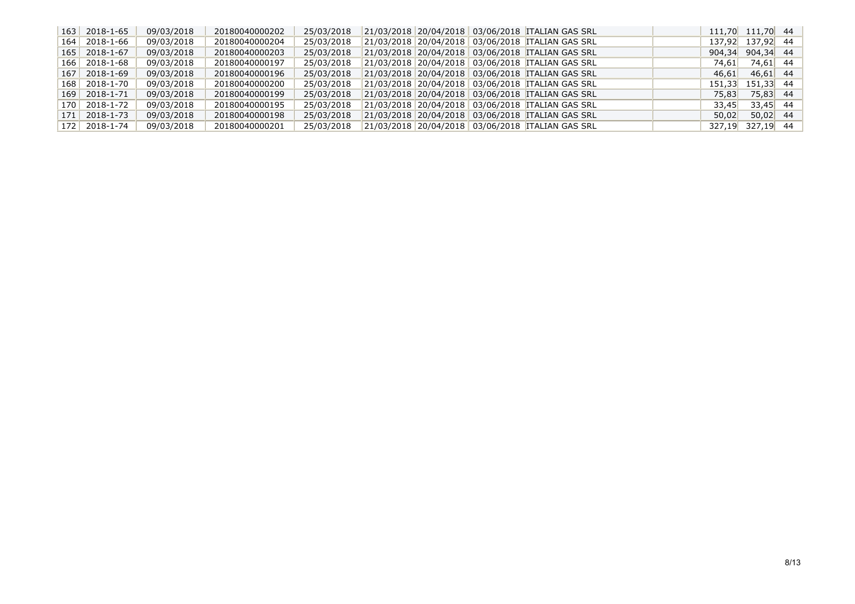|     | $163$ 2018-1-65 | 09/03/2018 | 20180040000202 | 25/03/2018 |  | 21/03/2018 20/04/2018 03/06/2018 ITALIAN GAS SRL |       | 111,70 111,70 44 |  |
|-----|-----------------|------------|----------------|------------|--|--------------------------------------------------|-------|------------------|--|
|     | $164$ 2018-1-66 | 09/03/2018 | 20180040000204 | 25/03/2018 |  | 21/03/2018 20/04/2018 03/06/2018 ITALIAN GAS SRL |       | 137,92 137,92 44 |  |
|     | $165$ 2018-1-67 | 09/03/2018 | 20180040000203 | 25/03/2018 |  | 21/03/2018 20/04/2018 03/06/2018 TALIAN GAS SRL  |       | 904,34 904,34 44 |  |
|     | $166$ 2018-1-68 | 09/03/2018 | 20180040000197 | 25/03/2018 |  | 21/03/2018 20/04/2018 03/06/2018 ITALIAN GAS SRL | 74,61 | 74,61 44         |  |
|     | $167$ 2018-1-69 | 09/03/2018 | 20180040000196 | 25/03/2018 |  | 21/03/2018 20/04/2018 03/06/2018 ITALIAN GAS SRL | 46.61 | $46,61$ 44       |  |
|     | $168$ 2018-1-70 | 09/03/2018 | 20180040000200 | 25/03/2018 |  | 21/03/2018 20/04/2018 03/06/2018 ITALIAN GAS SRL |       | 151,33 151,33 44 |  |
|     | $169$ 2018-1-71 | 09/03/2018 | 20180040000199 | 25/03/2018 |  | 21/03/2018 20/04/2018 03/06/2018 ITALIAN GAS SRL | 75,83 | 75,83 44         |  |
|     | 170   2018-1-72 | 09/03/2018 | 20180040000195 | 25/03/2018 |  | 21/03/2018 20/04/2018 03/06/2018 ITALIAN GAS SRL | 33.45 | $33,45$ 44       |  |
| 171 | $2018 - 1 - 73$ | 09/03/2018 | 20180040000198 | 25/03/2018 |  | 21/03/2018 20/04/2018 03/06/2018 ITALIAN GAS SRL | 50.02 | $50,02$ 44       |  |
|     | $172$ 2018-1-74 | 09/03/2018 | 20180040000201 | 25/03/2018 |  | 21/03/2018 20/04/2018 03/06/2018 ITALIAN GAS SRL |       | 327,19 327,19 44 |  |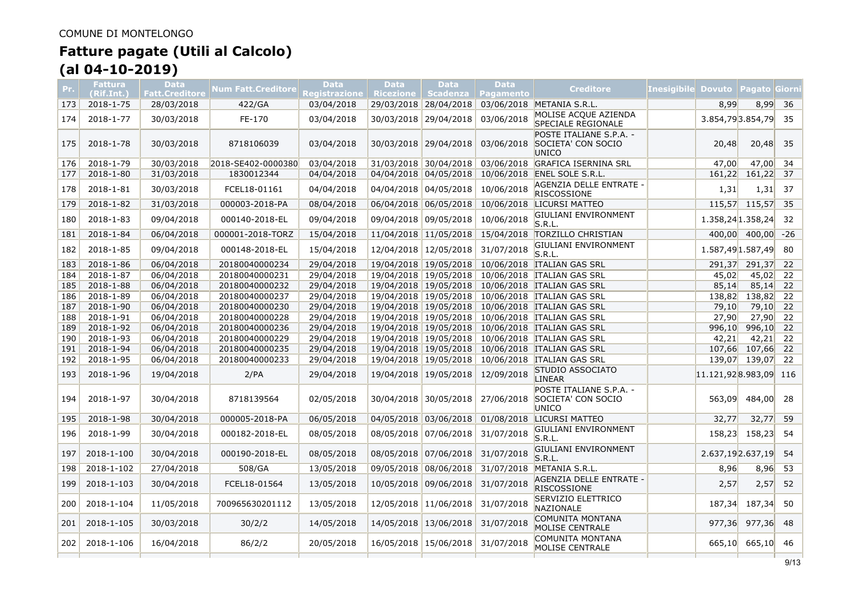| Pr. | <b>Fattura</b><br>(Rif.Int.) | <b>Data</b><br><b>Fatt.Creditore</b> | Num Fatt.Creditore | <b>Data</b><br>Registrazione | <b>Data</b><br><b>Ricezione</b> | <b>Data</b><br>Scadenza | <b>Data</b><br><b>Pagamento</b> | <b>Creditore</b>                                       | <b>Inesigibile Dovuto</b> |                       | <b>Pagato Giorn</b> |       |
|-----|------------------------------|--------------------------------------|--------------------|------------------------------|---------------------------------|-------------------------|---------------------------------|--------------------------------------------------------|---------------------------|-----------------------|---------------------|-------|
| 173 | 2018-1-75                    | 28/03/2018                           | 422/GA             | 03/04/2018                   |                                 | 29/03/2018 28/04/2018   |                                 | 03/06/2018 METANIA S.R.L.                              |                           | 8,99                  | 8,99                | 36    |
| 174 | 2018-1-77                    | 30/03/2018                           | FE-170             | 03/04/2018                   | 30/03/2018                      | 29/04/2018              | 03/06/2018                      | MOLISE ACOUE AZIENDA<br>SPECIALE REGIONALE             |                           |                       | 3.854,793.854,79    | 35    |
| 175 | 2018-1-78                    | 30/03/2018                           | 8718106039         | 03/04/2018                   |                                 | 30/03/2018 29/04/2018   | 03/06/2018                      | POSTE ITALIANE S.P.A. -<br>SOCIETA' CON SOCIO<br>UNICO |                           | 20,48                 | 20,48               | 35    |
| 176 | 2018-1-79                    | 30/03/2018                           | 2018-SE402-0000380 | 03/04/2018                   |                                 | 31/03/2018 30/04/2018   | 03/06/2018                      | <b>GRAFICA ISERNINA SRL</b>                            |                           | 47,00                 | 47,00               | 34    |
| 177 | 2018-1-80                    | 31/03/2018                           | 1830012344         | 04/04/2018                   |                                 | 04/04/2018 04/05/2018   | 10/06/2018                      | ENEL SOLE S.R.L.                                       |                           | 161,22                | 161,22              | 37    |
| 178 | 2018-1-81                    | 30/03/2018                           | FCEL18-01161       | 04/04/2018                   |                                 | 04/04/2018 04/05/2018   | 10/06/2018                      | AGENZIA DELLE ENTRATE -<br><b>RISCOSSIONE</b>          |                           | 1,31                  | 1,31                | 37    |
| 179 | 2018-1-82                    | 31/03/2018                           | 000003-2018-PA     | 08/04/2018                   |                                 | 06/04/2018 06/05/2018   | 10/06/2018                      | LICURSI MATTEO                                         |                           |                       | 115,57 115,57       | 35    |
| 180 | 2018-1-83                    | 09/04/2018                           | 000140-2018-EL     | 09/04/2018                   |                                 | 09/04/2018 09/05/2018   | 10/06/2018                      | GIULIANI ENVIRONMENT<br>S.R.L.                         |                           | 1.358,24 1.358,24     |                     | 32    |
| 181 | 2018-1-84                    | 06/04/2018                           | 000001-2018-TORZ   | 15/04/2018                   |                                 | 11/04/2018 11/05/2018   | 15/04/2018                      | <b>TORZILLO CHRISTIAN</b>                              |                           |                       | 400,00 400,00       | $-26$ |
| 182 | 2018-1-85                    | 09/04/2018                           | 000148-2018-EL     | 15/04/2018                   |                                 | 12/04/2018 12/05/2018   | 31/07/2018                      | GIULIANI ENVIRONMENT<br>S.R.L.                         |                           | 1.587,49 1.587,49     |                     | 80    |
| 183 | 2018-1-86                    | 06/04/2018                           | 20180040000234     | 29/04/2018                   |                                 |                         |                                 | 19/04/2018 19/05/2018 10/06/2018 ITALIAN GAS SRL       |                           | 291,37                | 291,37              | 22    |
| 184 | 2018-1-87                    | 06/04/2018                           | 20180040000231     | 29/04/2018                   |                                 | 19/04/2018 19/05/2018   |                                 | 10/06/2018 ITALIAN GAS SRL                             |                           | 45,02                 | 45,02               | 22    |
| 185 | $2018 - 1 - 88$              | 06/04/2018                           | 20180040000232     | 29/04/2018                   |                                 |                         |                                 | 19/04/2018 19/05/2018 10/06/2018 TALIAN GAS SRL        |                           | 85,14                 | 85,14               | 22    |
| 186 | 2018-1-89                    | 06/04/2018                           | 20180040000237     | 29/04/2018                   |                                 |                         |                                 | 19/04/2018 19/05/2018 10/06/2018 ITALIAN GAS SRL       |                           | 138,82                | 138,82              | 22    |
| 187 | 2018-1-90                    | 06/04/2018                           | 20180040000230     | 29/04/2018                   |                                 |                         |                                 | 19/04/2018 19/05/2018 10/06/2018 ITALIAN GAS SRL       |                           | 79,10                 | 79,10               | 22    |
| 188 | 2018-1-91                    | 06/04/2018                           | 20180040000228     | 29/04/2018                   |                                 |                         |                                 | 19/04/2018 19/05/2018 10/06/2018 ITALIAN GAS SRL       |                           | 27,90                 | 27,90               | 22    |
| 189 | 2018-1-92                    | 06/04/2018                           | 20180040000236     | 29/04/2018                   |                                 |                         |                                 | 19/04/2018 19/05/2018 10/06/2018 ITALIAN GAS SRL       |                           | 996,10                | 996,10              | 22    |
| 190 | 2018-1-93                    | 06/04/2018                           | 20180040000229     | 29/04/2018                   |                                 |                         |                                 | 19/04/2018 19/05/2018 10/06/2018 ITALIAN GAS SRL       |                           | 42,21                 | 42,21               | 22    |
| 191 | 2018-1-94                    | 06/04/2018                           | 20180040000235     | 29/04/2018                   |                                 | 19/04/2018 19/05/2018   |                                 | 10/06/2018 TALIAN GAS SRL                              |                           | 107,66                | 107,66              | 22    |
| 192 | 2018-1-95                    | 06/04/2018                           | 20180040000233     | 29/04/2018                   |                                 |                         |                                 | 19/04/2018 19/05/2018 10/06/2018 TALIAN GAS SRL        |                           | 139,07                | 139,07              | 22    |
| 193 | 2018-1-96                    | 19/04/2018                           | 2/PA               | 29/04/2018                   |                                 | 19/04/2018 19/05/2018   | 12/09/2018                      | STUDIO ASSOCIATO<br><b>LINEAR</b>                      |                           | 11.121,928.983,09 116 |                     |       |
| 194 | 2018-1-97                    | 30/04/2018                           | 8718139564         | 02/05/2018                   |                                 | 30/04/2018 30/05/2018   | 27/06/2018                      | POSTE ITALIANE S.P.A. -<br>SOCIETA' CON SOCIO<br>UNICO |                           | 563,09                | 484,00              | 28    |
| 195 | 2018-1-98                    | 30/04/2018                           | 000005-2018-PA     | 06/05/2018                   |                                 | 04/05/2018 03/06/2018   | 01/08/2018                      | LICURSI MATTEO                                         |                           | 32.77                 | 32,77               | 59    |
| 196 | 2018-1-99                    | 30/04/2018                           | 000182-2018-EL     | 08/05/2018                   |                                 | 08/05/2018 07/06/2018   | 31/07/2018                      | GIULIANI ENVIRONMENT<br>S.R.L.                         |                           | 158,23                | 158,23              | 54    |
| 197 | 2018-1-100                   | 30/04/2018                           | 000190-2018-EL     | 08/05/2018                   |                                 | 08/05/2018 07/06/2018   | 31/07/2018                      | GIULIANI ENVIRONMENT<br>S.R.L.                         |                           | 2.637,19 2.637,19     |                     | 54    |
| 198 | 2018-1-102                   | 27/04/2018                           | 508/GA             | 13/05/2018                   |                                 | 09/05/2018 08/06/2018   | 31/07/2018                      | METANIA S.R.L.                                         |                           | 8,96                  | 8,96                | 53    |
| 199 | 2018-1-103                   | 30/04/2018                           | FCEL18-01564       | 13/05/2018                   |                                 | 10/05/2018 09/06/2018   | 31/07/2018                      | AGENZIA DELLE ENTRATE -<br><b>RISCOSSIONE</b>          |                           | 2,57                  | 2,57                | 52    |
| 200 | 2018-1-104                   | 11/05/2018                           | 700965630201112    | 13/05/2018                   |                                 | 12/05/2018 11/06/2018   | 31/07/2018                      | SERVIZIO ELETTRICO<br>NAZIONALE                        |                           | 187,34                | 187,34              | 50    |
| 201 | 2018-1-105                   | 30/03/2018                           | 30/2/2             | 14/05/2018                   |                                 | 14/05/2018 13/06/2018   | 31/07/2018                      | COMUNITA MONTANA<br><b>MOLISE CENTRALE</b>             |                           | 977,36                | 977,36              | 48    |
| 202 | 2018-1-106                   | 16/04/2018                           | 86/2/2             | 20/05/2018                   |                                 | 16/05/2018 15/06/2018   | 31/07/2018                      | COMUNITA MONTANA<br><b>MOLISE CENTRALE</b>             |                           | 665,10                | 665,10              | 46    |
|     |                              |                                      |                    |                              |                                 |                         |                                 |                                                        |                           |                       |                     |       |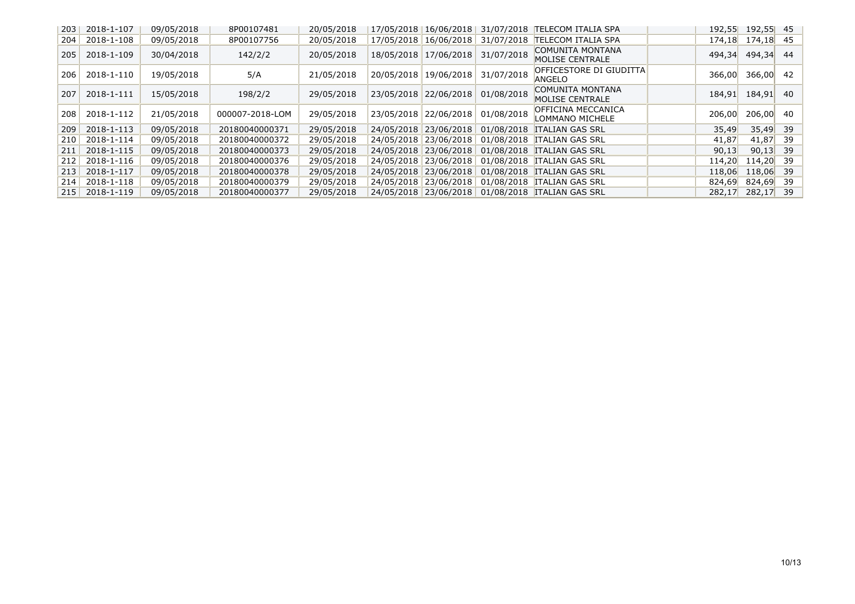| 203        | 2018-1-107 | 09/05/2018 | 8P00107481      | 20/05/2018 |            | 17/05/2018 16/06/2018 | 31/07/2018 | <b>TELECOM ITALIA SPA</b>                | 192,55 | 192,55 | 45 |
|------------|------------|------------|-----------------|------------|------------|-----------------------|------------|------------------------------------------|--------|--------|----|
| 204        | 2018-1-108 | 09/05/2018 | 8P00107756      | 20/05/2018 |            | 17/05/2018 16/06/2018 | 31/07/2018 | <b>TELECOM ITALIA SPA</b>                | 174,18 | 174,18 | 45 |
| 205        | 2018-1-109 | 30/04/2018 | 142/2/2         | 20/05/2018 |            | 18/05/2018 17/06/2018 | 31/07/2018 | COMUNITA MONTANA<br>MOLISE CENTRALE      | 494,34 | 494,34 | 44 |
| <b>206</b> | 2018-1-110 | 19/05/2018 | 5/A             | 21/05/2018 | 20/05/2018 | 19/06/2018            | 31/07/2018 | OFFICESTORE DI GIUDITTA<br><b>ANGELO</b> | 366,00 | 366,00 | 42 |
| 207        | 2018-1-111 | 15/05/2018 | 198/2/2         | 29/05/2018 | 23/05/2018 | 22/06/2018            | 01/08/2018 | COMUNITA MONTANA<br>MOLISE CENTRALE      | 184,91 | 184,91 | 40 |
| <b>208</b> | 2018-1-112 | 21/05/2018 | 000007-2018-LOM | 29/05/2018 | 23/05/2018 | 22/06/2018            | 01/08/2018 | OFFICINA MECCANICA<br>LOMMANO MICHELE    | 206,00 | 206,00 | 40 |
| 209        | 2018-1-113 | 09/05/2018 | 20180040000371  | 29/05/2018 |            | 24/05/2018 23/06/2018 |            | 01/08/2018 ITALIAN GAS SRL               | 35,49  | 35,49  | 39 |
| <b>210</b> | 2018-1-114 | 09/05/2018 | 20180040000372  | 29/05/2018 |            | 24/05/2018 23/06/2018 |            | 01/08/2018 TALIAN GAS SRL                | 41,87  | 41,87  | 39 |
| 211        | 2018-1-115 | 09/05/2018 | 20180040000373  | 29/05/2018 |            | 24/05/2018 23/06/2018 |            | 01/08/2018 ITALIAN GAS SRL               | 90,13  | 90,13  | 39 |
| 212        | 2018-1-116 | 09/05/2018 | 20180040000376  | 29/05/2018 |            | 24/05/2018 23/06/2018 |            | 01/08/2018 TALIAN GAS SRL                | 114,20 | 114,20 | 39 |
| 213        | 2018-1-117 | 09/05/2018 | 20180040000378  | 29/05/2018 |            | 24/05/2018 23/06/2018 |            | 01/08/2018 ITALIAN GAS SRL               | 118,06 | 118,06 | 39 |
| 214        | 2018-1-118 | 09/05/2018 | 20180040000379  | 29/05/2018 |            | 24/05/2018 23/06/2018 |            | 01/08/2018 ITALIAN GAS SRL               | 824,69 | 824,69 | 39 |
| 215        | 2018-1-119 | 09/05/2018 | 20180040000377  | 29/05/2018 |            | 24/05/2018 23/06/2018 |            | 01/08/2018 ITALIAN GAS SRL               | 282,17 | 282,17 | 39 |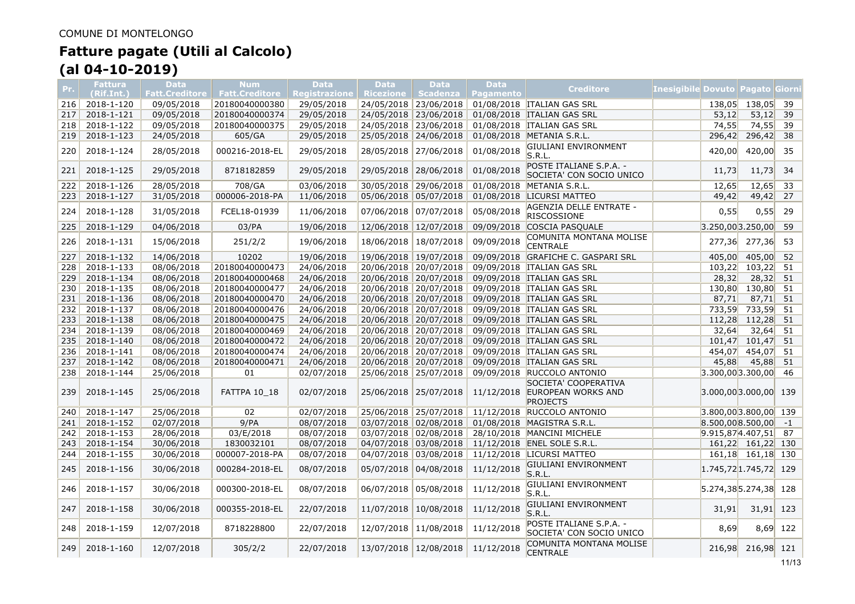| Pr. | Fattura<br>(Rif.Int.) | <b>Data</b><br><b>Fatt.Creditore</b> | <b>Num</b><br><b>Fatt.Creditore</b> | <b>Data</b><br><b>Registrazione</b> | <b>Data</b><br><b>Ricezione</b> | <b>Data</b><br><b>Scadenza</b> | <b>Data</b><br>Pagamento | <b>Creditore</b>                                                         | Inesigibile Dovuto  Pagato Giorn |                         |                   |      |
|-----|-----------------------|--------------------------------------|-------------------------------------|-------------------------------------|---------------------------------|--------------------------------|--------------------------|--------------------------------------------------------------------------|----------------------------------|-------------------------|-------------------|------|
| 216 | 2018-1-120            | 09/05/2018                           | 20180040000380                      | 29/05/2018                          |                                 | 24/05/2018 23/06/2018          |                          | 01/08/2018 ITALIAN GAS SRL                                               |                                  |                         | 138,05 138,05     | 39   |
| 217 | 2018-1-121            | 09/05/2018                           | 20180040000374                      | 29/05/2018                          |                                 | 24/05/2018 23/06/2018          | 01/08/2018               | <b>ITALIAN GAS SRL</b>                                                   |                                  | 53,12                   | 53,12             | 39   |
| 218 | 2018-1-122            | 09/05/2018                           | 20180040000375                      | 29/05/2018                          |                                 | 24/05/2018 23/06/2018          | 01/08/2018               | <b>ITALIAN GAS SRL</b>                                                   |                                  | 74,55                   | 74,55             | 39   |
| 219 | 2018-1-123            | 24/05/2018                           | 605/GA                              | 29/05/2018                          |                                 | 25/05/2018 24/06/2018          |                          | 01/08/2018 METANIA S.R.L.                                                |                                  | 296,42                  | 296,42            | 38   |
| 220 | 2018-1-124            | 28/05/2018                           | 000216-2018-EL                      | 29/05/2018                          | 28/05/2018                      | 27/06/2018                     | 01/08/2018               | GIULIANI ENVIRONMENT<br>S.R.L.                                           |                                  | 420,00                  | 420,00            | 35   |
| 221 | 2018-1-125            | 29/05/2018                           | 8718182859                          | 29/05/2018                          | 29/05/2018                      | 28/06/2018                     | 01/08/2018               | POSTE ITALIANE S.P.A. -<br>SOCIETA' CON SOCIO UNICO                      |                                  | 11,73                   | 11,73             | 34   |
| 222 | $2018 - 1 - 126$      | 28/05/2018                           | 708/GA                              | 03/06/2018                          |                                 | 30/05/2018 29/06/2018          | 01/08/2018               | METANIA S.R.L.                                                           |                                  | 12,65                   | 12,65             | 33   |
| 223 | 2018-1-127            | 31/05/2018                           | 000006-2018-PA                      | 11/06/2018                          |                                 | 05/06/2018 05/07/2018          | 01/08/2018               | <b>LICURSI MATTEO</b>                                                    |                                  | 49,42                   | 49,42             | 27   |
| 224 | 2018-1-128            | 31/05/2018                           | FCEL18-01939                        | 11/06/2018                          | 07/06/2018                      | 07/07/2018                     | 05/08/2018               | AGENZIA DELLE ENTRATE -<br><b>RISCOSSIONE</b>                            |                                  | 0,55                    | 0,55              | 29   |
| 225 | 2018-1-129            | 04/06/2018                           | 03/PA                               | 19/06/2018                          |                                 | 12/06/2018 12/07/2018          |                          | 09/09/2018 COSCIA PASQUALE                                               |                                  | $3.250,00$ 3.250,00     |                   | 59   |
| 226 | 2018-1-131            | 15/06/2018                           | 251/2/2                             | 19/06/2018                          | 18/06/2018                      | 18/07/2018                     | 09/09/2018               | COMUNITA MONTANA MOLISE<br><b>CENTRALE</b>                               |                                  | 277,36                  | 277,36            | 53   |
| 227 | 2018-1-132            | 14/06/2018                           | 10202                               | 19/06/2018                          |                                 | 19/06/2018 19/07/2018          |                          | 09/09/2018 GRAFICHE C. GASPARI SRL                                       |                                  | 405,00                  | 405,00            | 52   |
| 228 | 2018-1-133            | 08/06/2018                           | 20180040000473                      | 24/06/2018                          |                                 | 20/06/2018 20/07/2018          |                          | 09/09/2018 TALIAN GAS SRL                                                |                                  | 103,22                  | 103,22            | 51   |
| 229 | 2018-1-134            | 08/06/2018                           | 20180040000468                      | 24/06/2018                          |                                 | 20/06/2018 20/07/2018          |                          | 09/09/2018 ITALIAN GAS SRL                                               |                                  | 28,32                   | 28,32             | 51   |
| 230 | 2018-1-135            | 08/06/2018                           | 20180040000477                      | 24/06/2018                          |                                 | 20/06/2018 20/07/2018          | 09/09/2018               | <b>ITALIAN GAS SRL</b>                                                   |                                  | 130,80                  | 130,80            | 51   |
| 231 | 2018-1-136            | 08/06/2018                           | 20180040000470                      | 24/06/2018                          |                                 | 20/06/2018 20/07/2018          |                          | 09/09/2018 TALIAN GAS SRL                                                |                                  | 87,71                   | 87,71             | 51   |
| 232 | 2018-1-137            | 08/06/2018                           | 20180040000476                      | 24/06/2018                          |                                 | 20/06/2018 20/07/2018          |                          | 09/09/2018 TALIAN GAS SRL                                                |                                  | 733,59                  | 733,59            | 51   |
| 233 | 2018-1-138            | 08/06/2018                           | 20180040000475                      | 24/06/2018                          |                                 | 20/06/2018 20/07/2018          |                          | 09/09/2018 ITALIAN GAS SRL                                               |                                  | 112,28                  | 112,28            | 51   |
| 234 | 2018-1-139            | 08/06/2018                           | 20180040000469                      | 24/06/2018                          |                                 | 20/06/2018 20/07/2018          |                          | 09/09/2018 TALIAN GAS SRL                                                |                                  | 32,64                   | 32,64             | 51   |
| 235 | 2018-1-140            | 08/06/2018                           | 20180040000472                      | 24/06/2018                          |                                 | 20/06/2018 20/07/2018          |                          | 09/09/2018 ITALIAN GAS SRL                                               |                                  | 101,47                  | 101,47            | 51   |
| 236 | $2018 - 1 - 141$      | 08/06/2018                           | 20180040000474                      | 24/06/2018                          |                                 | 20/06/2018 20/07/2018          |                          | 09/09/2018 TTALIAN GAS SRL                                               |                                  | 454,07                  | 454,07            | 51   |
| 237 | 2018-1-142            | 08/06/2018                           | 20180040000471                      | 24/06/2018                          |                                 | 20/06/2018 20/07/2018          | 09/09/2018               | <b>ITALIAN GAS SRL</b>                                                   |                                  | 45,88                   | 45,88             | 51   |
| 238 | 2018-1-144            | 25/06/2018                           | 01                                  | 02/07/2018                          |                                 | 25/06/2018 25/07/2018          |                          | 09/09/2018 RUCCOLO ANTONIO                                               |                                  | $3.300,00$ 3.300,00     |                   | 46   |
| 239 | 2018-1-145            | 25/06/2018                           | FATTPA 10 18                        | 02/07/2018                          |                                 | 25/06/2018 25/07/2018          |                          | SOCIETA' COOPERATIVA<br>11/12/2018 EUROPEAN WORKS AND<br><b>PROJECTS</b> |                                  | $3.000,00$ 3.000,00 139 |                   |      |
| 240 | 2018-1-147            | 25/06/2018                           | 02                                  | 02/07/2018                          |                                 | 25/06/2018 25/07/2018          |                          | 11/12/2018 RUCCOLO ANTONIO                                               |                                  | 3.800,00 3.800,00 139   |                   |      |
| 241 | 2018-1-152            | 02/07/2018                           | 9/PA                                | 08/07/2018                          |                                 | 03/07/2018 02/08/2018          |                          | 01/08/2018 MAGISTRA S.R.L.                                               |                                  | 8.500,008.500,00        |                   | $-1$ |
| 242 | 2018-1-153            | 28/06/2018                           | 03/E/2018                           | 08/07/2018                          |                                 | 03/07/2018 02/08/2018          |                          | 28/10/2018 MANCINI MICHELE                                               |                                  | 9.915,874.407,51        |                   | 87   |
| 243 | 2018-1-154            | 30/06/2018                           | 1830032101                          | 08/07/2018                          |                                 | 04/07/2018 03/08/2018          |                          | 11/12/2018 ENEL SOLE S.R.L.                                              |                                  |                         | 161,22 161,22 130 |      |
| 244 | 2018-1-155            | 30/06/2018                           | 000007-2018-PA                      | 08/07/2018                          |                                 | 04/07/2018 03/08/2018          |                          | 11/12/2018 LICURSI MATTEO                                                |                                  |                         | 161,18 161,18 130 |      |
| 245 | 2018-1-156            | 30/06/2018                           | 000284-2018-EL                      | 08/07/2018                          | 05/07/2018                      | 04/08/2018                     | 11/12/2018               | <b>GIULIANI ENVIRONMENT</b><br>S.R.L.                                    |                                  | $1.745,72$ 1.745,72 129 |                   |      |
| 246 | 2018-1-157            | 30/06/2018                           | 000300-2018-EL                      | 08/07/2018                          | 06/07/2018                      | 05/08/2018                     | 11/12/2018               | GIULIANI ENVIRONMENT<br>S.R.L.                                           |                                  | $5.274,385.274,38$ 128  |                   |      |
| 247 | 2018-1-158            | 30/06/2018                           | 000355-2018-EL                      | 22/07/2018                          | 11/07/2018                      | 10/08/2018                     | 11/12/2018               | GIULIANI ENVIRONMENT<br>S.R.L.                                           |                                  | 31,91                   | 31,91             | 123  |
| 248 | 2018-1-159            | 12/07/2018                           | 8718228800                          | 22/07/2018                          | 12/07/2018                      | 11/08/2018                     | 11/12/2018               | POSTE ITALIANE S.P.A. -<br>SOCIETA' CON SOCIO UNICO                      |                                  | 8,69                    | $8,69$ 122        |      |
| 249 | 2018-1-160            | 12/07/2018                           | 305/2/2                             | 22/07/2018                          |                                 | 13/07/2018 12/08/2018          | 11/12/2018               | COMUNITA MONTANA MOLISE<br><b>CENTRALE</b>                               |                                  | 216,98                  | 216,98 121        |      |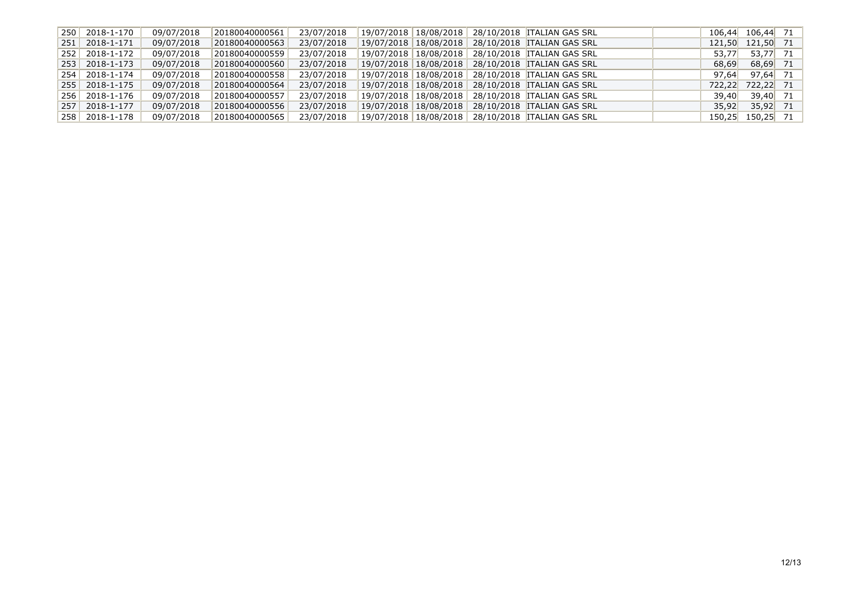| 250 2018-1-170            | 09/07/2018 | 20180040000561 | 23/07/2018 |  | 19/07/2018   18/08/2018   28/10/2018  ITALIAN GAS SRL  |       | $106,44$ $106,44$ 71 |  |
|---------------------------|------------|----------------|------------|--|--------------------------------------------------------|-------|----------------------|--|
| $251 \mid 2018 - 1 - 171$ | 09/07/2018 | 20180040000563 | 23/07/2018 |  | 19/07/2018   18/08/2018   28/10/2018   ITALIAN GAS SRL |       | 121,50 121,50 71     |  |
| 252 2018-1-172            | 09/07/2018 | 20180040000559 | 23/07/2018 |  | 19/07/2018   18/08/2018   28/10/2018   ITALIAN GAS SRL | 53.77 | 53,77 71             |  |
| $253$ 2018-1-173          | 09/07/2018 | 20180040000560 | 23/07/2018 |  | 19/07/2018 18/08/2018 28/10/2018 TALIAN GAS SRL        | 68.69 | 68.69 71             |  |
| 254 2018-1-174            | 09/07/2018 | 20180040000558 | 23/07/2018 |  | 19/07/2018   18/08/2018   28/10/2018   ITALIAN GAS SRL | 97.64 | 97.64 71             |  |
| $255$ 2018-1-175          | 09/07/2018 | 20180040000564 | 23/07/2018 |  | 19/07/2018   18/08/2018   28/10/2018   ITALIAN GAS SRL |       | 722,22 722,22 71     |  |
| 256 2018-1-176            | 09/07/2018 | 20180040000557 | 23/07/2018 |  | 19/07/2018   18/08/2018   28/10/2018   ITALIAN GAS SRL | 39,40 | 39,40 71             |  |
| 257 2018-1-177            | 09/07/2018 | 20180040000556 | 23/07/2018 |  | 19/07/2018   18/08/2018   28/10/2018   ITALIAN GAS SRL |       | $35,92$ $35,92$ 71   |  |
| 258 2018-1-178            | 09/07/2018 | 20180040000565 | 23/07/2018 |  | 19/07/2018   18/08/2018   28/10/2018   ITALIAN GAS SRL |       | 150,25 150,25 71     |  |